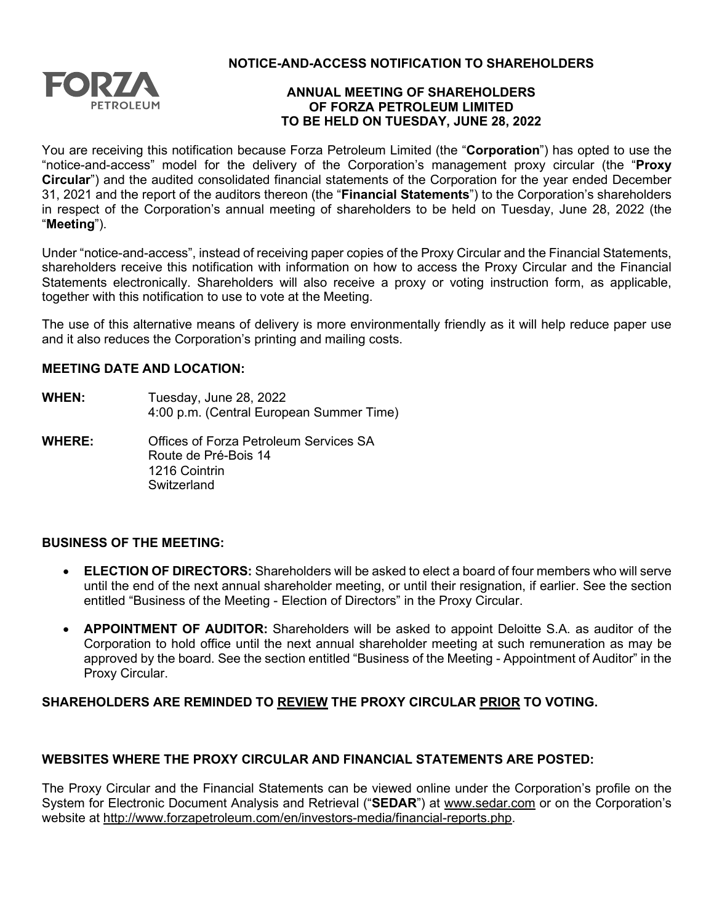

**NOTICE-AND-ACCESS NOTIFICATION TO SHAREHOLDERS**

## **ANNUAL MEETING OF SHAREHOLDERS OF FORZA PETROLEUM LIMITED TO BE HELD ON TUESDAY, JUNE 28, 2022**

You are receiving this notification because Forza Petroleum Limited (the "**Corporation**") has opted to use the "notice-and-access" model for the delivery of the Corporation's management proxy circular (the "**Proxy Circular**") and the audited consolidated financial statements of the Corporation for the year ended December 31, 2021 and the report of the auditors thereon (the "**Financial Statements**") to the Corporation's shareholders in respect of the Corporation's annual meeting of shareholders to be held on Tuesday, June 28, 2022 (the "**Meeting**").

Under "notice-and-access", instead of receiving paper copies of the Proxy Circular and the Financial Statements, shareholders receive this notification with information on how to access the Proxy Circular and the Financial Statements electronically. Shareholders will also receive a proxy or voting instruction form, as applicable, together with this notification to use to vote at the Meeting.

The use of this alternative means of delivery is more environmentally friendly as it will help reduce paper use and it also reduces the Corporation's printing and mailing costs.

## **MEETING DATE AND LOCATION:**

- **WHEN:** Tuesday, June 28, 2022 4:00 p.m. (Central European Summer Time)
- **WHERE:** Offices of Forza Petroleum Services SA Route de Pré-Bois 14 1216 Cointrin **Switzerland**

## **BUSINESS OF THE MEETING:**

- **ELECTION OF DIRECTORS:** Shareholders will be asked to elect a board of four members who will serve until the end of the next annual shareholder meeting, or until their resignation, if earlier. See the section entitled "Business of the Meeting - Election of Directors" in the Proxy Circular.
- **APPOINTMENT OF AUDITOR:** Shareholders will be asked to appoint Deloitte S.A. as auditor of the Corporation to hold office until the next annual shareholder meeting at such remuneration as may be approved by the board. See the section entitled "Business of the Meeting - Appointment of Auditor" in the Proxy Circular.

# **SHAREHOLDERS ARE REMINDED TO REVIEW THE PROXY CIRCULAR PRIOR TO VOTING.**

# **WEBSITES WHERE THE PROXY CIRCULAR AND FINANCIAL STATEMENTS ARE POSTED:**

The Proxy Circular and the Financial Statements can be viewed online under the Corporation's profile on the System for Electronic Document Analysis and Retrieval ("**SEDAR**") at [www.sedar.com](http://www.sedar.com/) or on the Corporation's website at [http://www.forzapetroleum.com/en/investors-media/financial-reports.php.](http://www.forzapetroleum.com/en/investors-media/financial-reports.php)